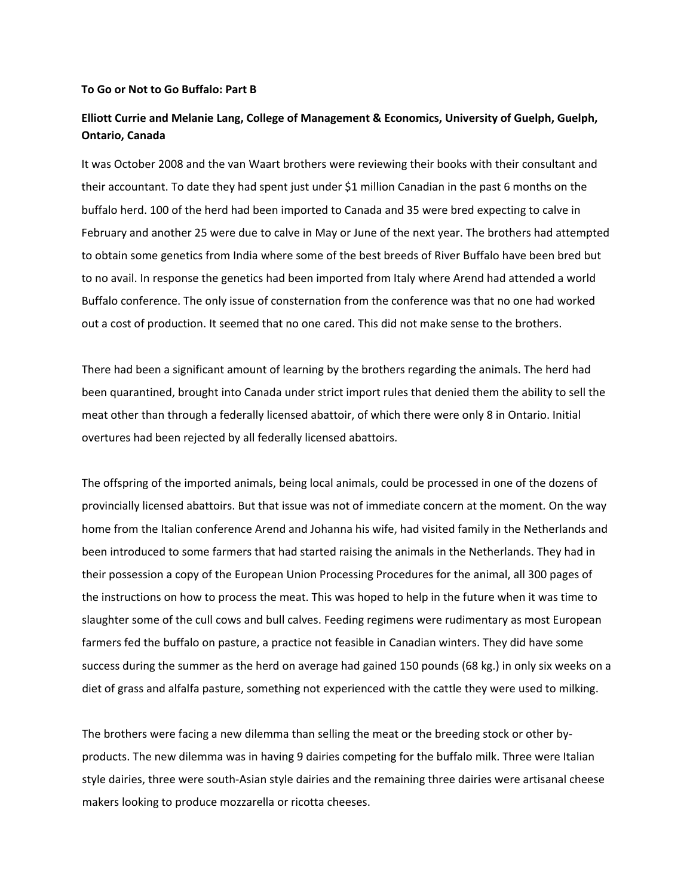## **To Go or Not to Go Buffalo: Part B**

## **Elliott Currie and Melanie Lang, College of Management & Economics, University of Guelph, Guelph, Ontario, Canada**

It was October 2008 and the van Waart brothers were reviewing their books with their consultant and their accountant. To date they had spent just under \$1 million Canadian in the past 6 months on the buffalo herd. 100 of the herd had been imported to Canada and 35 were bred expecting to calve in February and another 25 were due to calve in May or June of the next year. The brothers had attempted to obtain some genetics from India where some of the best breeds of River Buffalo have been bred but to no avail. In response the genetics had been imported from Italy where Arend had attended a world Buffalo conference. The only issue of consternation from the conference was that no one had worked out a cost of production. It seemed that no one cared. This did not make sense to the brothers.

There had been a significant amount of learning by the brothers regarding the animals. The herd had been quarantined, brought into Canada under strict import rules that denied them the ability to sell the meat other than through a federally licensed abattoir, of which there were only 8 in Ontario. Initial overtures had been rejected by all federally licensed abattoirs.

The offspring of the imported animals, being local animals, could be processed in one of the dozens of provincially licensed abattoirs. But that issue was not of immediate concern at the moment. On the way home from the Italian conference Arend and Johanna his wife, had visited family in the Netherlands and been introduced to some farmers that had started raising the animals in the Netherlands. They had in their possession a copy of the European Union Processing Procedures for the animal, all 300 pages of the instructions on how to process the meat. This was hoped to help in the future when it was time to slaughter some of the cull cows and bull calves. Feeding regimens were rudimentary as most European farmers fed the buffalo on pasture, a practice not feasible in Canadian winters. They did have some success during the summer as the herd on average had gained 150 pounds (68 kg.) in only six weeks on a diet of grass and alfalfa pasture, something not experienced with the cattle they were used to milking.

The brothers were facing a new dilemma than selling the meat or the breeding stock or other by‐ products. The new dilemma was in having 9 dairies competing for the buffalo milk. Three were Italian style dairies, three were south‐Asian style dairies and the remaining three dairies were artisanal cheese makers looking to produce mozzarella or ricotta cheeses.